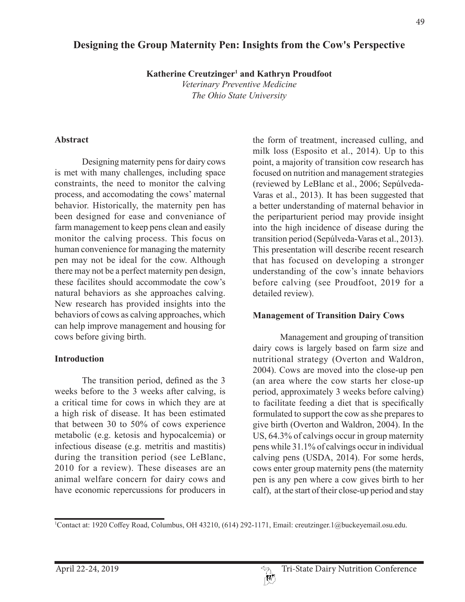# **Designing the Group Maternity Pen: Insights from the Cow's Perspective**

**Katherine Creutzinger<sup>1</sup> and Kathryn Proudfoot** 

*Veterinary Preventive Medicine The Ohio State University*

#### **Abstract**

Designing maternity pens for dairy cows is met with many challenges, including space constraints, the need to monitor the calving process, and accomodating the cows' maternal behavior. Historically, the maternity pen has been designed for ease and conveniance of farm management to keep pens clean and easily monitor the calving process. This focus on human convenience for managing the maternity pen may not be ideal for the cow. Although there may not be a perfect maternity pen design, these facilites should accommodate the cow's natural behaviors as she approaches calving. New research has provided insights into the behaviors of cows as calving approaches, which can help improve management and housing for cows before giving birth.

#### **Introduction**

The transition period, defined as the 3 weeks before to the 3 weeks after calving, is a critical time for cows in which they are at a high risk of disease. It has been estimated that between 30 to 50% of cows experience metabolic (e.g. ketosis and hypocalcemia) or infectious disease (e.g. metritis and mastitis) during the transition period (see LeBlanc, 2010 for a review). These diseases are an animal welfare concern for dairy cows and have economic repercussions for producers in the form of treatment, increased culling, and milk loss (Esposito et al., 2014). Up to this point, a majority of transition cow research has focused on nutrition and management strategies (reviewed by LeBlanc et al., 2006; Sepúlveda-Varas et al., 2013). It has been suggested that a better understanding of maternal behavior in the periparturient period may provide insight into the high incidence of disease during the transition period (Sepúlveda-Varas et al., 2013). This presentation will describe recent research that has focused on developing a stronger understanding of the cow's innate behaviors before calving (see Proudfoot, 2019 for a detailed review).

#### **Management of Transition Dairy Cows**

Management and grouping of transition dairy cows is largely based on farm size and nutritional strategy (Overton and Waldron, 2004). Cows are moved into the close-up pen (an area where the cow starts her close-up period, approximately 3 weeks before calving) to facilitate feeding a diet that is specifically formulated to support the cow as she prepares to give birth (Overton and Waldron, 2004). In the US, 64.3% of calvings occur in group maternity pens while 31.1% of calvings occur in individual calving pens (USDA, 2014). For some herds, cows enter group maternity pens (the maternity pen is any pen where a cow gives birth to her calf), at the start of their close-up period and stay

<sup>1</sup> Contact at: 1920 Coffey Road, Columbus, OH 43210, (614) 292-1171, Email: creutzinger.1@buckeyemail.osu.edu.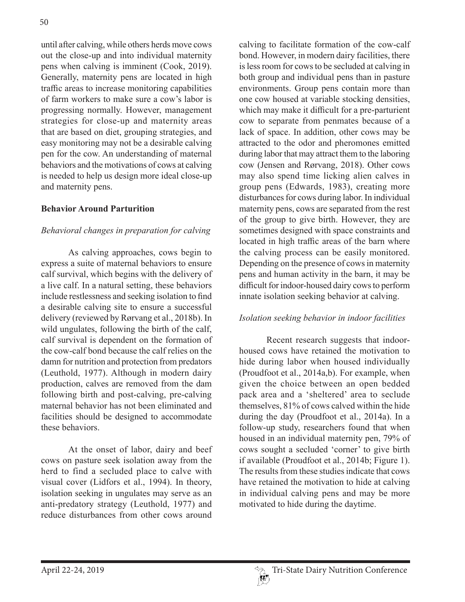until after calving, while others herds move cows out the close-up and into individual maternity pens when calving is imminent (Cook, 2019). Generally, maternity pens are located in high traffic areas to increase monitoring capabilities of farm workers to make sure a cow's labor is progressing normally. However, management strategies for close-up and maternity areas that are based on diet, grouping strategies, and easy monitoring may not be a desirable calving pen for the cow. An understanding of maternal behaviors and the motivations of cows at calving is needed to help us design more ideal close-up and maternity pens.

#### **Behavior Around Parturition**

### *Behavioral changes in preparation for calving*

As calving approaches, cows begin to express a suite of maternal behaviors to ensure calf survival, which begins with the delivery of a live calf. In a natural setting, these behaviors include restlessness and seeking isolation to find a desirable calving site to ensure a successful delivery (reviewed by Rørvang et al., 2018b). In wild ungulates, following the birth of the calf, calf survival is dependent on the formation of the cow-calf bond because the calf relies on the damn for nutrition and protection from predators (Leuthold, 1977). Although in modern dairy production, calves are removed from the dam following birth and post-calving, pre-calving maternal behavior has not been eliminated and facilities should be designed to accommodate these behaviors.

At the onset of labor, dairy and beef cows on pasture seek isolation away from the herd to find a secluded place to calve with visual cover (Lidfors et al., 1994). In theory, isolation seeking in ungulates may serve as an anti-predatory strategy (Leuthold, 1977) and reduce disturbances from other cows around

calving to facilitate formation of the cow-calf bond. However, in modern dairy facilities, there is less room for cows to be secluded at calving in both group and individual pens than in pasture environments. Group pens contain more than one cow housed at variable stocking densities, which may make it difficult for a pre-parturient cow to separate from penmates because of a lack of space. In addition, other cows may be attracted to the odor and pheromones emitted during labor that may attract them to the laboring cow (Jensen and Rørvang, 2018). Other cows may also spend time licking alien calves in group pens (Edwards, 1983), creating more disturbances for cows during labor. In individual maternity pens, cows are separated from the rest of the group to give birth. However, they are sometimes designed with space constraints and located in high traffic areas of the barn where the calving process can be easily monitored. Depending on the presence of cows in maternity pens and human activity in the barn, it may be difficult for indoor-housed dairy cows to perform innate isolation seeking behavior at calving.

#### *Isolation seeking behavior in indoor facilities*

Recent research suggests that indoorhoused cows have retained the motivation to hide during labor when housed individually (Proudfoot et al., 2014a,b). For example, when given the choice between an open bedded pack area and a 'sheltered' area to seclude themselves, 81% of cows calved within the hide during the day (Proudfoot et al., 2014a). In a follow-up study, researchers found that when housed in an individual maternity pen, 79% of cows sought a secluded 'corner' to give birth if available (Proudfoot et al., 2014b; Figure 1). The results from these studies indicate that cows have retained the motivation to hide at calving in individual calving pens and may be more motivated to hide during the daytime.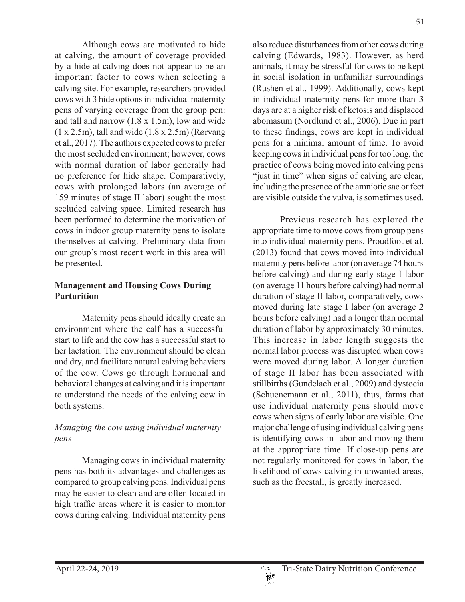Although cows are motivated to hide at calving, the amount of coverage provided by a hide at calving does not appear to be an important factor to cows when selecting a calving site. For example, researchers provided cows with 3 hide options in individual maternity pens of varying coverage from the group pen: and tall and narrow (1.8 x 1.5m), low and wide (1 x 2.5m), tall and wide (1.8 x 2.5m) (Rørvang et al., 2017). The authors expected cows to prefer the most secluded environment; however, cows with normal duration of labor generally had no preference for hide shape. Comparatively, cows with prolonged labors (an average of 159 minutes of stage II labor) sought the most secluded calving space. Limited research has been performed to determine the motivation of cows in indoor group maternity pens to isolate themselves at calving. Preliminary data from our group's most recent work in this area will be presented.

## **Management and Housing Cows During Parturition**

Maternity pens should ideally create an environment where the calf has a successful start to life and the cow has a successful start to her lactation. The environment should be clean and dry, and facilitate natural calving behaviors of the cow. Cows go through hormonal and behavioral changes at calving and it is important to understand the needs of the calving cow in both systems.

# *Managing the cow using individual maternity pens*

Managing cows in individual maternity pens has both its advantages and challenges as compared to group calving pens. Individual pens may be easier to clean and are often located in high traffic areas where it is easier to monitor cows during calving. Individual maternity pens

also reduce disturbances from other cows during calving (Edwards, 1983). However, as herd animals, it may be stressful for cows to be kept in social isolation in unfamiliar surroundings (Rushen et al., 1999). Additionally, cows kept in individual maternity pens for more than 3 days are at a higher risk of ketosis and displaced abomasum (Nordlund et al., 2006). Due in part to these findings, cows are kept in individual pens for a minimal amount of time. To avoid keeping cows in individual pens for too long, the practice of cows being moved into calving pens "just in time" when signs of calving are clear, including the presence of the amniotic sac or feet are visible outside the vulva, is sometimes used.

Previous research has explored the appropriate time to move cows from group pens into individual maternity pens. Proudfoot et al. (2013) found that cows moved into individual maternity pens before labor (on average 74 hours before calving) and during early stage I labor (on average 11 hours before calving) had normal duration of stage II labor, comparatively, cows moved during late stage I labor (on average 2 hours before calving) had a longer than normal duration of labor by approximately 30 minutes. This increase in labor length suggests the normal labor process was disrupted when cows were moved during labor. A longer duration of stage II labor has been associated with stillbirths (Gundelach et al., 2009) and dystocia (Schuenemann et al., 2011), thus, farms that use individual maternity pens should move cows when signs of early labor are visible. One major challenge of using individual calving pens is identifying cows in labor and moving them at the appropriate time. If close-up pens are not regularly monitored for cows in labor, the likelihood of cows calving in unwanted areas, such as the freestall, is greatly increased.

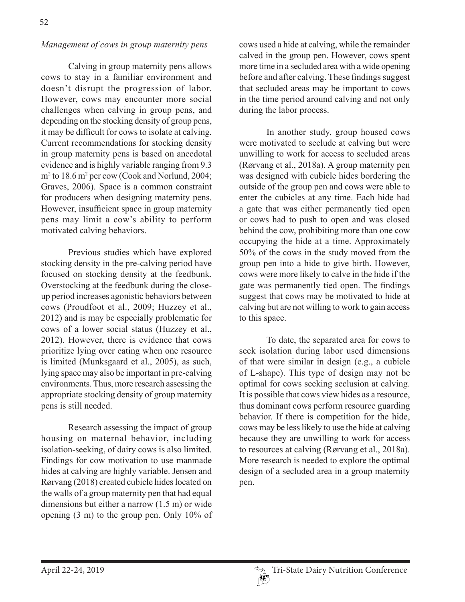### *Management of cows in group maternity pens*

Calving in group maternity pens allows cows to stay in a familiar environment and doesn't disrupt the progression of labor. However, cows may encounter more social challenges when calving in group pens, and depending on the stocking density of group pens, it may be difficult for cows to isolate at calving. Current recommendations for stocking density in group maternity pens is based on anecdotal evidence and is highly variable ranging from 9.3 m<sup>2</sup> to 18.6 m<sup>2</sup> per cow (Cook and Norlund, 2004; Graves, 2006). Space is a common constraint for producers when designing maternity pens. However, insufficient space in group maternity pens may limit a cow's ability to perform motivated calving behaviors.

Previous studies which have explored stocking density in the pre-calving period have focused on stocking density at the feedbunk. Overstocking at the feedbunk during the closeup period increases agonistic behaviors between cows (Proudfoot et al., 2009; Huzzey et al., 2012) and is may be especially problematic for cows of a lower social status (Huzzey et al., 2012). However, there is evidence that cows prioritize lying over eating when one resource is limited (Munksgaard et al., 2005), as such, lying space may also be important in pre-calving environments. Thus, more research assessing the appropriate stocking density of group maternity pens is still needed.

Research assessing the impact of group housing on maternal behavior, including isolation-seeking, of dairy cows is also limited. Findings for cow motivation to use manmade hides at calving are highly variable. Jensen and Rørvang (2018) created cubicle hides located on the walls of a group maternity pen that had equal dimensions but either a narrow (1.5 m) or wide opening (3 m) to the group pen. Only 10% of cows used a hide at calving, while the remainder calved in the group pen. However, cows spent more time in a secluded area with a wide opening before and after calving. These findings suggest that secluded areas may be important to cows in the time period around calving and not only during the labor process.

In another study, group housed cows were motivated to seclude at calving but were unwilling to work for access to secluded areas (Rørvang et al., 2018a). A group maternity pen was designed with cubicle hides bordering the outside of the group pen and cows were able to enter the cubicles at any time. Each hide had a gate that was either permanently tied open or cows had to push to open and was closed behind the cow, prohibiting more than one cow occupying the hide at a time. Approximately 50% of the cows in the study moved from the group pen into a hide to give birth. However, cows were more likely to calve in the hide if the gate was permanently tied open. The findings suggest that cows may be motivated to hide at calving but are not willing to work to gain access to this space.

To date, the separated area for cows to seek isolation during labor used dimensions of that were similar in design (e.g., a cubicle of L-shape). This type of design may not be optimal for cows seeking seclusion at calving. It is possible that cows view hides as a resource, thus dominant cows perform resource guarding behavior. If there is competition for the hide, cows may be less likely to use the hide at calving because they are unwilling to work for access to resources at calving (Rørvang et al., 2018a). More research is needed to explore the optimal design of a secluded area in a group maternity pen.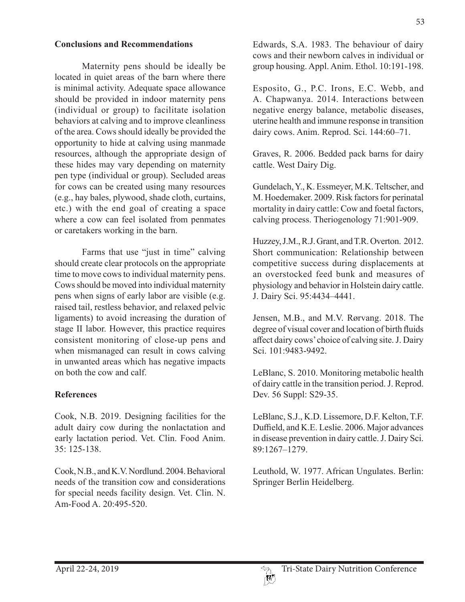#### **Conclusions and Recommendations**

Maternity pens should be ideally be located in quiet areas of the barn where there is minimal activity. Adequate space allowance should be provided in indoor maternity pens (individual or group) to facilitate isolation behaviors at calving and to improve cleanliness of the area. Cows should ideally be provided the opportunity to hide at calving using manmade resources, although the appropriate design of these hides may vary depending on maternity pen type (individual or group). Secluded areas for cows can be created using many resources (e.g., hay bales, plywood, shade cloth, curtains, etc.) with the end goal of creating a space where a cow can feel isolated from penmates or caretakers working in the barn.

Farms that use "just in time" calving should create clear protocols on the appropriate time to move cows to individual maternity pens. Cows should be moved into individual maternity pens when signs of early labor are visible (e.g. raised tail, restless behavior, and relaxed pelvic ligaments) to avoid increasing the duration of stage II labor. However, this practice requires consistent monitoring of close-up pens and when mismanaged can result in cows calving in unwanted areas which has negative impacts on both the cow and calf.

#### **References**

Cook, N.B. 2019. Designing facilities for the adult dairy cow during the nonlactation and early lactation period. Vet. Clin. Food Anim. 35: 125-138.

Cook, N.B., and K.V. Nordlund. 2004. Behavioral needs of the transition cow and considerations for special needs facility design. Vet. Clin. N. Am-Food A. 20:495-520.

Edwards, S.A. 1983. The behaviour of dairy cows and their newborn calves in individual or group housing. Appl. Anim. Ethol. 10:191-198.

Esposito, G., P.C. Irons, E.C. Webb, and A. Chapwanya. 2014. Interactions between negative energy balance, metabolic diseases, uterine health and immune response in transition dairy cows. Anim. Reprod. Sci. 144:60–71.

Graves, R. 2006. Bedded pack barns for dairy cattle. West Dairy Dig.

Gundelach, Y., K. Essmeyer, M.K. Teltscher, and M. Hoedemaker. 2009. Risk factors for perinatal mortality in dairy cattle: Cow and foetal factors, calving process. Theriogenology 71:901-909.

Huzzey, J.M., R.J. Grant, and T.R. Overton. 2012. Short communication: Relationship between competitive success during displacements at an overstocked feed bunk and measures of physiology and behavior in Holstein dairy cattle. J. Dairy Sci. 95:4434–4441.

Jensen, M.B., and M.V. Rørvang. 2018. The degree of visual cover and location of birth fluids affect dairy cows' choice of calving site. J. Dairy Sci. 101:9483-9492.

LeBlanc, S. 2010. Monitoring metabolic health of dairy cattle in the transition period. J. Reprod. Dev. 56 Suppl: S29-35.

LeBlanc, S.J., K.D. Lissemore, D.F. Kelton, T.F. Duffield, and K.E. Leslie. 2006. Major advances in disease prevention in dairy cattle. J. Dairy Sci. 89:1267–1279.

Leuthold, W. 1977. African Ungulates. Berlin: Springer Berlin Heidelberg.

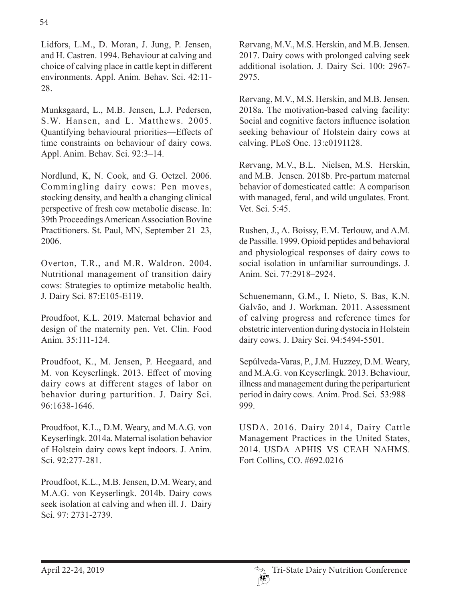Lidfors, L.M., D. Moran, J. Jung, P. Jensen, and H. Castren. 1994. Behaviour at calving and choice of calving place in cattle kept in different environments. Appl. Anim. Behav. Sci. 42:11- 28.

Munksgaard, L., M.B. Jensen, L.J. Pedersen, S.W. Hansen, and L. Matthews. 2005. Quantifying behavioural priorities—Effects of time constraints on behaviour of dairy cows. Appl. Anim. Behav. Sci. 92:3–14.

Nordlund, K, N. Cook, and G. Oetzel. 2006. Commingling dairy cows: Pen moves, stocking density, and health a changing clinical perspective of fresh cow metabolic disease. In: 39th Proceedings American Association Bovine Practitioners. St. Paul, MN, September 21–23, 2006.

Overton, T.R., and M.R. Waldron. 2004. Nutritional management of transition dairy cows: Strategies to optimize metabolic health. J. Dairy Sci. 87:E105-E119.

Proudfoot, K.L. 2019. Maternal behavior and design of the maternity pen. Vet. Clin. Food Anim. 35:111-124.

Proudfoot, K., M. Jensen, P. Heegaard, and M. von Keyserlingk. 2013. Effect of moving dairy cows at different stages of labor on behavior during parturition. J. Dairy Sci. 96:1638-1646.

Proudfoot, K.L., D.M. Weary, and M.A.G. von Keyserlingk. 2014a. Maternal isolation behavior of Holstein dairy cows kept indoors. J. Anim. Sci. 92:277-281.

Proudfoot, K.L., M.B. Jensen, D.M. Weary, and M.A.G. von Keyserlingk. 2014b. Dairy cows seek isolation at calving and when ill. J. Dairy Sci. 97: 2731-2739.

Rørvang, M.V., M.S. Herskin, and M.B. Jensen. 2017. Dairy cows with prolonged calving seek additional isolation. J. Dairy Sci. 100: 2967- 2975.

Rørvang, M.V., M.S. Herskin, and M.B. Jensen. 2018a. The motivation-based calving facility: Social and cognitive factors influence isolation seeking behaviour of Holstein dairy cows at calving. PLoS One. 13:e0191128.

Rørvang, M.V., B.L. Nielsen, M.S. Herskin, and M.B. Jensen. 2018b. Pre-partum maternal behavior of domesticated cattle: A comparison with managed, feral, and wild ungulates. Front. Vet. Sci. 5:45.

Rushen, J., A. Boissy, E.M. Terlouw, and A.M. de Passille. 1999. Opioid peptides and behavioral and physiological responses of dairy cows to social isolation in unfamiliar surroundings. J. Anim. Sci. 77:2918–2924.

Schuenemann, G.M., I. Nieto, S. Bas, K.N. Galvão, and J. Workman. 2011. Assessment of calving progress and reference times for obstetric intervention during dystocia in Holstein dairy cows. J. Dairy Sci. 94:5494-5501.

Sepúlveda-Varas, P., J.M. Huzzey, D.M. Weary, and M.A.G. von Keyserlingk. 2013. Behaviour, illness and management during the periparturient period in dairy cows. Anim. Prod. Sci. 53:988– 999.

USDA. 2016. Dairy 2014, Dairy Cattle Management Practices in the United States, 2014. USDA–APHIS–VS–CEAH–NAHMS. Fort Collins, CO. #692.0216